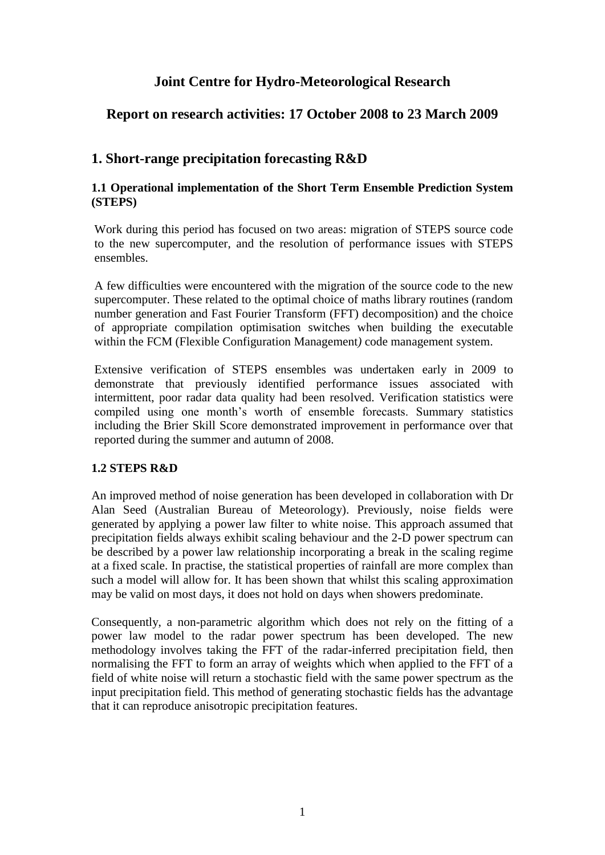# **Joint Centre for Hydro-Meteorological Research**

# **Report on research activities: 17 October 2008 to 23 March 2009**

# **1. Short-range precipitation forecasting R&D**

### **1.1 Operational implementation of the Short Term Ensemble Prediction System (STEPS)**

Work during this period has focused on two areas: migration of STEPS source code to the new supercomputer, and the resolution of performance issues with STEPS ensembles.

A few difficulties were encountered with the migration of the source code to the new supercomputer. These related to the optimal choice of maths library routines (random number generation and Fast Fourier Transform (FFT) decomposition) and the choice of appropriate compilation optimisation switches when building the executable within the FCM (Flexible Configuration Management*)* code management system.

Extensive verification of STEPS ensembles was undertaken early in 2009 to demonstrate that previously identified performance issues associated with intermittent, poor radar data quality had been resolved. Verification statistics were compiled using one month"s worth of ensemble forecasts. Summary statistics including the Brier Skill Score demonstrated improvement in performance over that reported during the summer and autumn of 2008.

## **1.2 STEPS R&D**

An improved method of noise generation has been developed in collaboration with Dr Alan Seed (Australian Bureau of Meteorology). Previously, noise fields were generated by applying a power law filter to white noise. This approach assumed that precipitation fields always exhibit scaling behaviour and the 2-D power spectrum can be described by a power law relationship incorporating a break in the scaling regime at a fixed scale. In practise, the statistical properties of rainfall are more complex than such a model will allow for. It has been shown that whilst this scaling approximation may be valid on most days, it does not hold on days when showers predominate.

Consequently, a non-parametric algorithm which does not rely on the fitting of a power law model to the radar power spectrum has been developed. The new methodology involves taking the FFT of the radar-inferred precipitation field, then normalising the FFT to form an array of weights which when applied to the FFT of a field of white noise will return a stochastic field with the same power spectrum as the input precipitation field. This method of generating stochastic fields has the advantage that it can reproduce anisotropic precipitation features.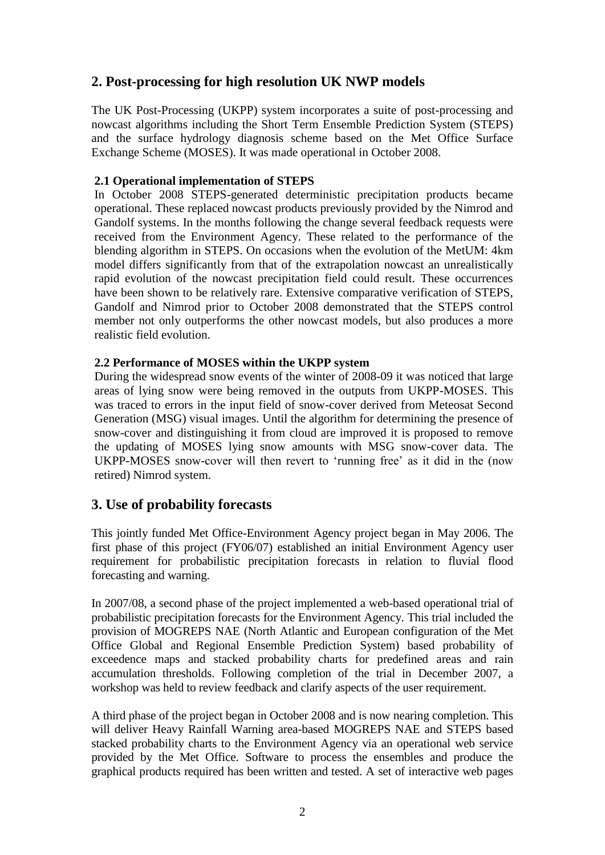# **2. Post-processing for high resolution UK NWP models**

The UK Post-Processing (UKPP) system incorporates a suite of post-processing and nowcast algorithms including the Short Term Ensemble Prediction System (STEPS) and the surface hydrology diagnosis scheme based on the Met Office Surface Exchange Scheme (MOSES). It was made operational in October 2008.

### **2.1 Operational implementation of STEPS**

In October 2008 STEPS-generated deterministic precipitation products became operational. These replaced nowcast products previously provided by the Nimrod and Gandolf systems. In the months following the change several feedback requests were received from the Environment Agency. These related to the performance of the blending algorithm in STEPS. On occasions when the evolution of the MetUM: 4km model differs significantly from that of the extrapolation nowcast an unrealistically rapid evolution of the nowcast precipitation field could result. These occurrences have been shown to be relatively rare. Extensive comparative verification of STEPS, Gandolf and Nimrod prior to October 2008 demonstrated that the STEPS control member not only outperforms the other nowcast models, but also produces a more realistic field evolution.

### **2.2 Performance of MOSES within the UKPP system**

During the widespread snow events of the winter of 2008-09 it was noticed that large areas of lying snow were being removed in the outputs from UKPP-MOSES. This was traced to errors in the input field of snow-cover derived from Meteosat Second Generation (MSG) visual images. Until the algorithm for determining the presence of snow-cover and distinguishing it from cloud are improved it is proposed to remove the updating of MOSES lying snow amounts with MSG snow-cover data. The UKPP-MOSES snow-cover will then revert to "running free" as it did in the (now retired) Nimrod system.

## **3. Use of probability forecasts**

This jointly funded Met Office-Environment Agency project began in May 2006. The first phase of this project (FY06/07) established an initial Environment Agency user requirement for probabilistic precipitation forecasts in relation to fluvial flood forecasting and warning.

In 2007/08, a second phase of the project implemented a web-based operational trial of probabilistic precipitation forecasts for the Environment Agency. This trial included the provision of MOGREPS NAE (North Atlantic and European configuration of the Met Office Global and Regional Ensemble Prediction System) based probability of exceedence maps and stacked probability charts for predefined areas and rain accumulation thresholds. Following completion of the trial in December 2007, a workshop was held to review feedback and clarify aspects of the user requirement.

A third phase of the project began in October 2008 and is now nearing completion. This will deliver Heavy Rainfall Warning area-based MOGREPS NAE and STEPS based stacked probability charts to the Environment Agency via an operational web service provided by the Met Office. Software to process the ensembles and produce the graphical products required has been written and tested. A set of interactive web pages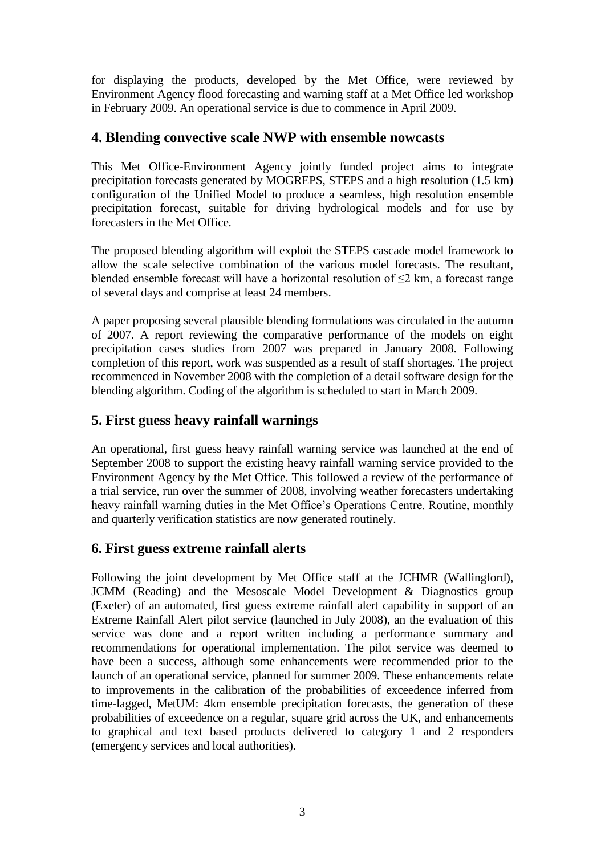for displaying the products, developed by the Met Office, were reviewed by Environment Agency flood forecasting and warning staff at a Met Office led workshop in February 2009. An operational service is due to commence in April 2009.

# **4. Blending convective scale NWP with ensemble nowcasts**

This Met Office-Environment Agency jointly funded project aims to integrate precipitation forecasts generated by MOGREPS, STEPS and a high resolution (1.5 km) configuration of the Unified Model to produce a seamless, high resolution ensemble precipitation forecast, suitable for driving hydrological models and for use by forecasters in the Met Office.

The proposed blending algorithm will exploit the STEPS cascade model framework to allow the scale selective combination of the various model forecasts. The resultant, blended ensemble forecast will have a horizontal resolution of ≤2 km, a forecast range of several days and comprise at least 24 members.

A paper proposing several plausible blending formulations was circulated in the autumn of 2007. A report reviewing the comparative performance of the models on eight precipitation cases studies from 2007 was prepared in January 2008. Following completion of this report, work was suspended as a result of staff shortages. The project recommenced in November 2008 with the completion of a detail software design for the blending algorithm. Coding of the algorithm is scheduled to start in March 2009.

# **5. First guess heavy rainfall warnings**

An operational, first guess heavy rainfall warning service was launched at the end of September 2008 to support the existing heavy rainfall warning service provided to the Environment Agency by the Met Office. This followed a review of the performance of a trial service, run over the summer of 2008, involving weather forecasters undertaking heavy rainfall warning duties in the Met Office's Operations Centre. Routine, monthly and quarterly verification statistics are now generated routinely.

## **6. First guess extreme rainfall alerts**

Following the joint development by Met Office staff at the JCHMR (Wallingford), JCMM (Reading) and the Mesoscale Model Development & Diagnostics group (Exeter) of an automated, first guess extreme rainfall alert capability in support of an Extreme Rainfall Alert pilot service (launched in July 2008), an the evaluation of this service was done and a report written including a performance summary and recommendations for operational implementation. The pilot service was deemed to have been a success, although some enhancements were recommended prior to the launch of an operational service, planned for summer 2009. These enhancements relate to improvements in the calibration of the probabilities of exceedence inferred from time-lagged, MetUM: 4km ensemble precipitation forecasts, the generation of these probabilities of exceedence on a regular, square grid across the UK, and enhancements to graphical and text based products delivered to category 1 and 2 responders (emergency services and local authorities).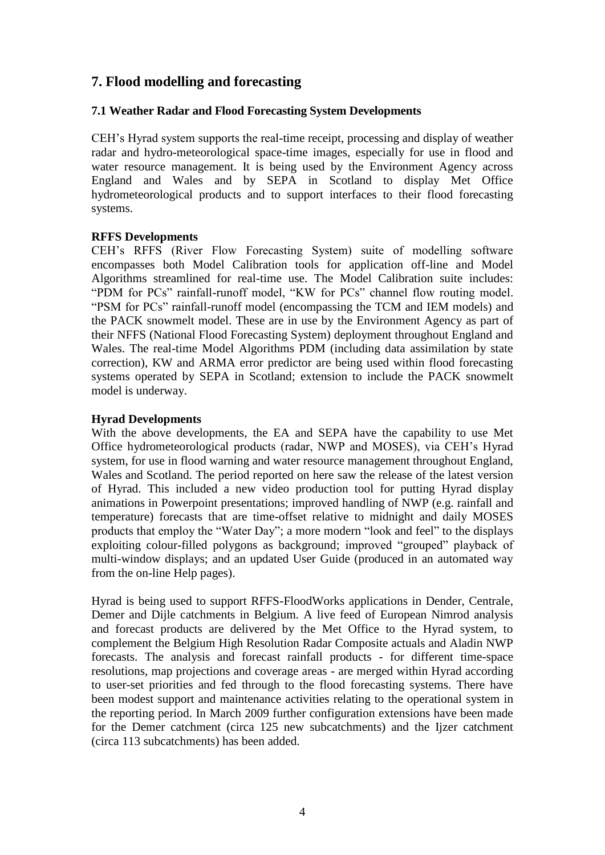# **7. Flood modelling and forecasting**

### **7.1 Weather Radar and Flood Forecasting System Developments**

CEH"s Hyrad system supports the real-time receipt, processing and display of weather radar and hydro-meteorological space-time images, especially for use in flood and water resource management. It is being used by the Environment Agency across England and Wales and by SEPA in Scotland to display Met Office hydrometeorological products and to support interfaces to their flood forecasting systems.

### **RFFS Developments**

CEH"s RFFS (River Flow Forecasting System) suite of modelling software encompasses both Model Calibration tools for application off-line and Model Algorithms streamlined for real-time use. The Model Calibration suite includes: "PDM for PCs" rainfall-runoff model, "KW for PCs" channel flow routing model. "PSM for PCs" rainfall-runoff model (encompassing the TCM and IEM models) and the PACK snowmelt model. These are in use by the Environment Agency as part of their NFFS (National Flood Forecasting System) deployment throughout England and Wales. The real-time Model Algorithms PDM (including data assimilation by state correction), KW and ARMA error predictor are being used within flood forecasting systems operated by SEPA in Scotland; extension to include the PACK snowmelt model is underway.

### **Hyrad Developments**

With the above developments, the EA and SEPA have the capability to use Met Office hydrometeorological products (radar, NWP and MOSES), via CEH"s Hyrad system, for use in flood warning and water resource management throughout England, Wales and Scotland. The period reported on here saw the release of the latest version of Hyrad. This included a new video production tool for putting Hyrad display animations in Powerpoint presentations; improved handling of NWP (e.g. rainfall and temperature) forecasts that are time-offset relative to midnight and daily MOSES products that employ the "Water Day"; a more modern "look and feel" to the displays exploiting colour-filled polygons as background; improved "grouped" playback of multi-window displays; and an updated User Guide (produced in an automated way from the on-line Help pages).

Hyrad is being used to support RFFS-FloodWorks applications in Dender, Centrale, Demer and Dijle catchments in Belgium. A live feed of European Nimrod analysis and forecast products are delivered by the Met Office to the Hyrad system, to complement the Belgium High Resolution Radar Composite actuals and Aladin NWP forecasts. The analysis and forecast rainfall products - for different time-space resolutions, map projections and coverage areas - are merged within Hyrad according to user-set priorities and fed through to the flood forecasting systems. There have been modest support and maintenance activities relating to the operational system in the reporting period. In March 2009 further configuration extensions have been made for the Demer catchment (circa 125 new subcatchments) and the Ijzer catchment (circa 113 subcatchments) has been added.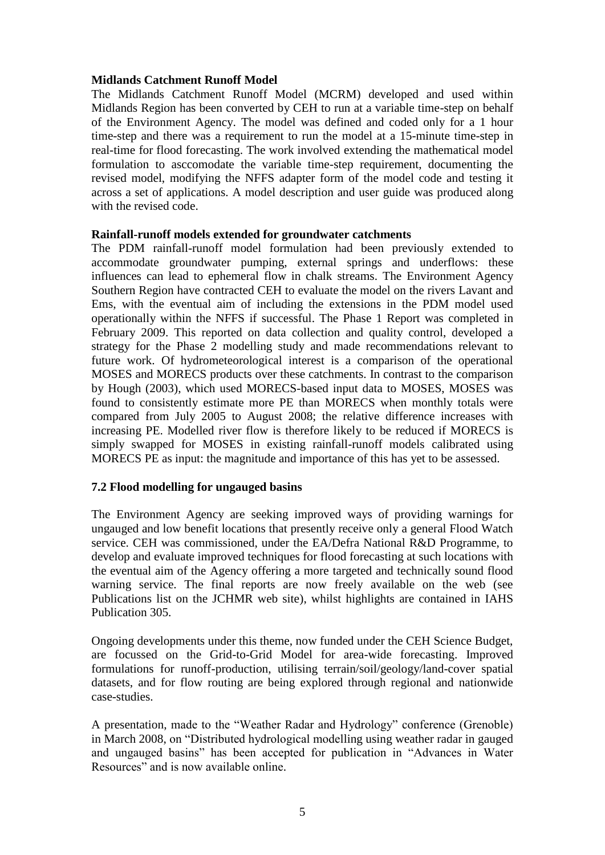#### **Midlands Catchment Runoff Model**

The Midlands Catchment Runoff Model (MCRM) developed and used within Midlands Region has been converted by CEH to run at a variable time-step on behalf of the Environment Agency. The model was defined and coded only for a 1 hour time-step and there was a requirement to run the model at a 15-minute time-step in real-time for flood forecasting. The work involved extending the mathematical model formulation to asccomodate the variable time-step requirement, documenting the revised model, modifying the NFFS adapter form of the model code and testing it across a set of applications. A model description and user guide was produced along with the revised code.

### **Rainfall-runoff models extended for groundwater catchments**

The PDM rainfall-runoff model formulation had been previously extended to accommodate groundwater pumping, external springs and underflows: these influences can lead to ephemeral flow in chalk streams. The Environment Agency Southern Region have contracted CEH to evaluate the model on the rivers Lavant and Ems, with the eventual aim of including the extensions in the PDM model used operationally within the NFFS if successful. The Phase 1 Report was completed in February 2009. This reported on data collection and quality control, developed a strategy for the Phase 2 modelling study and made recommendations relevant to future work. Of hydrometeorological interest is a comparison of the operational MOSES and MORECS products over these catchments. In contrast to the comparison by Hough (2003), which used MORECS-based input data to MOSES, MOSES was found to consistently estimate more PE than MORECS when monthly totals were compared from July 2005 to August 2008; the relative difference increases with increasing PE. Modelled river flow is therefore likely to be reduced if MORECS is simply swapped for MOSES in existing rainfall-runoff models calibrated using MORECS PE as input: the magnitude and importance of this has yet to be assessed.

## **7.2 Flood modelling for ungauged basins**

The Environment Agency are seeking improved ways of providing warnings for ungauged and low benefit locations that presently receive only a general Flood Watch service. CEH was commissioned, under the EA/Defra National R&D Programme, to develop and evaluate improved techniques for flood forecasting at such locations with the eventual aim of the Agency offering a more targeted and technically sound flood warning service. The final reports are now freely available on the web (see Publications list on the JCHMR web site), whilst highlights are contained in IAHS Publication 305.

Ongoing developments under this theme, now funded under the CEH Science Budget, are focussed on the Grid-to-Grid Model for area-wide forecasting. Improved formulations for runoff-production, utilising terrain/soil/geology/land-cover spatial datasets, and for flow routing are being explored through regional and nationwide case-studies.

A presentation, made to the "Weather Radar and Hydrology" conference (Grenoble) in March 2008, on "Distributed hydrological modelling using weather radar in gauged and ungauged basins" has been accepted for publication in "Advances in Water Resources" and is now available online.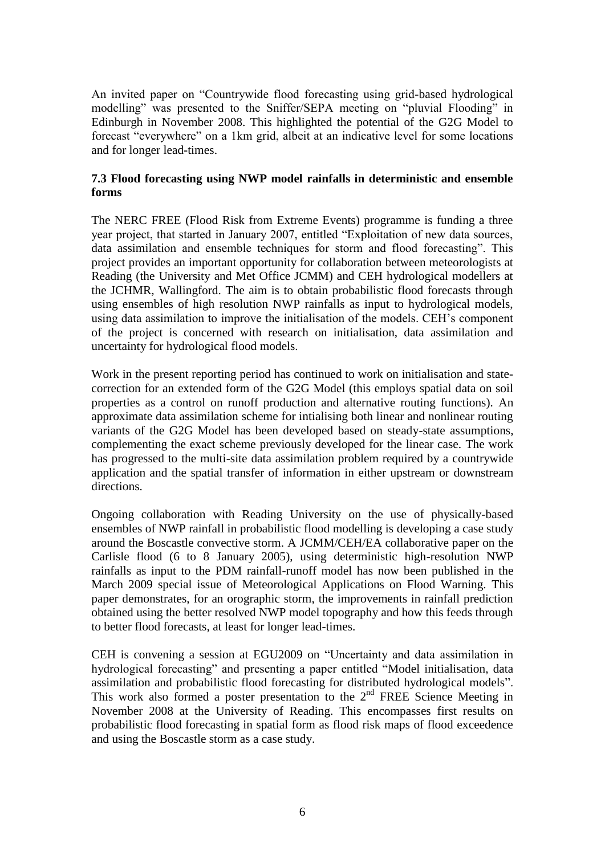An invited paper on "Countrywide flood forecasting using grid-based hydrological modelling" was presented to the Sniffer/SEPA meeting on "pluvial Flooding" in Edinburgh in November 2008. This highlighted the potential of the G2G Model to forecast "everywhere" on a 1km grid, albeit at an indicative level for some locations and for longer lead-times.

### **7.3 Flood forecasting using NWP model rainfalls in deterministic and ensemble forms**

The NERC FREE (Flood Risk from Extreme Events) programme is funding a three year project, that started in January 2007, entitled "Exploitation of new data sources, data assimilation and ensemble techniques for storm and flood forecasting". This project provides an important opportunity for collaboration between meteorologists at Reading (the University and Met Office JCMM) and CEH hydrological modellers at the JCHMR, Wallingford. The aim is to obtain probabilistic flood forecasts through using ensembles of high resolution NWP rainfalls as input to hydrological models, using data assimilation to improve the initialisation of the models. CEH"s component of the project is concerned with research on initialisation, data assimilation and uncertainty for hydrological flood models.

Work in the present reporting period has continued to work on initialisation and statecorrection for an extended form of the G2G Model (this employs spatial data on soil properties as a control on runoff production and alternative routing functions). An approximate data assimilation scheme for intialising both linear and nonlinear routing variants of the G2G Model has been developed based on steady-state assumptions, complementing the exact scheme previously developed for the linear case. The work has progressed to the multi-site data assimilation problem required by a countrywide application and the spatial transfer of information in either upstream or downstream directions.

Ongoing collaboration with Reading University on the use of physically-based ensembles of NWP rainfall in probabilistic flood modelling is developing a case study around the Boscastle convective storm. A JCMM/CEH/EA collaborative paper on the Carlisle flood (6 to 8 January 2005), using deterministic high-resolution NWP rainfalls as input to the PDM rainfall-runoff model has now been published in the March 2009 special issue of Meteorological Applications on Flood Warning. This paper demonstrates, for an orographic storm, the improvements in rainfall prediction obtained using the better resolved NWP model topography and how this feeds through to better flood forecasts, at least for longer lead-times.

CEH is convening a session at EGU2009 on "Uncertainty and data assimilation in hydrological forecasting" and presenting a paper entitled "Model initialisation, data assimilation and probabilistic flood forecasting for distributed hydrological models". This work also formed a poster presentation to the  $2<sup>nd</sup>$  FREE Science Meeting in November 2008 at the University of Reading. This encompasses first results on probabilistic flood forecasting in spatial form as flood risk maps of flood exceedence and using the Boscastle storm as a case study.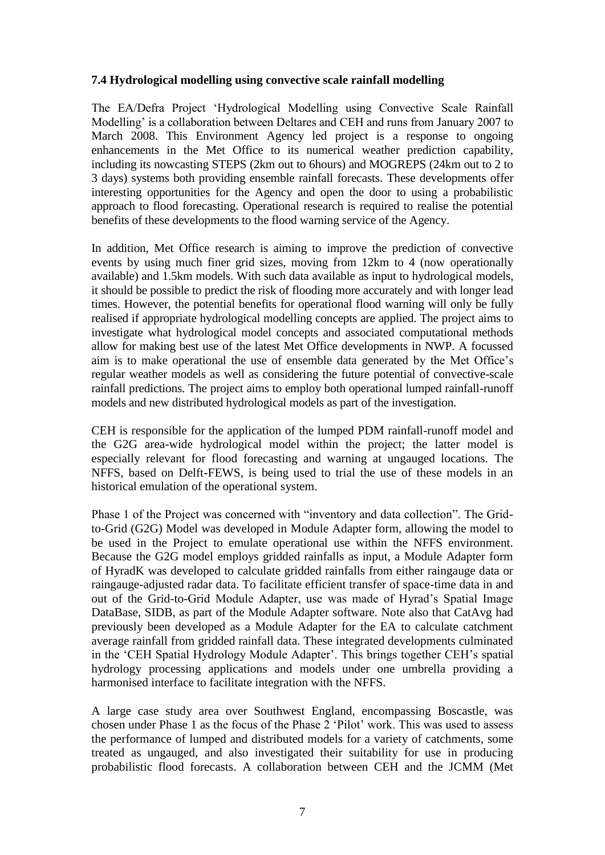### **7.4 Hydrological modelling using convective scale rainfall modelling**

The EA/Defra Project "Hydrological Modelling using Convective Scale Rainfall Modelling" is a collaboration between Deltares and CEH and runs from January 2007 to March 2008. This Environment Agency led project is a response to ongoing enhancements in the Met Office to its numerical weather prediction capability, including its nowcasting STEPS (2km out to 6hours) and MOGREPS (24km out to 2 to 3 days) systems both providing ensemble rainfall forecasts. These developments offer interesting opportunities for the Agency and open the door to using a probabilistic approach to flood forecasting. Operational research is required to realise the potential benefits of these developments to the flood warning service of the Agency.

In addition, Met Office research is aiming to improve the prediction of convective events by using much finer grid sizes, moving from 12km to 4 (now operationally available) and 1.5km models. With such data available as input to hydrological models, it should be possible to predict the risk of flooding more accurately and with longer lead times. However, the potential benefits for operational flood warning will only be fully realised if appropriate hydrological modelling concepts are applied. The project aims to investigate what hydrological model concepts and associated computational methods allow for making best use of the latest Met Office developments in NWP. A focussed aim is to make operational the use of ensemble data generated by the Met Office"s regular weather models as well as considering the future potential of convective-scale rainfall predictions. The project aims to employ both operational lumped rainfall-runoff models and new distributed hydrological models as part of the investigation.

CEH is responsible for the application of the lumped PDM rainfall-runoff model and the G2G area-wide hydrological model within the project; the latter model is especially relevant for flood forecasting and warning at ungauged locations. The NFFS, based on Delft-FEWS, is being used to trial the use of these models in an historical emulation of the operational system.

Phase 1 of the Project was concerned with "inventory and data collection". The Gridto-Grid (G2G) Model was developed in Module Adapter form, allowing the model to be used in the Project to emulate operational use within the NFFS environment. Because the G2G model employs gridded rainfalls as input, a Module Adapter form of HyradK was developed to calculate gridded rainfalls from either raingauge data or raingauge-adjusted radar data. To facilitate efficient transfer of space-time data in and out of the Grid-to-Grid Module Adapter, use was made of Hyrad"s Spatial Image DataBase, SIDB, as part of the Module Adapter software. Note also that CatAvg had previously been developed as a Module Adapter for the EA to calculate catchment average rainfall from gridded rainfall data. These integrated developments culminated in the 'CEH Spatial Hydrology Module Adapter'. This brings together CEH's spatial hydrology processing applications and models under one umbrella providing a harmonised interface to facilitate integration with the NFFS.

A large case study area over Southwest England, encompassing Boscastle, was chosen under Phase 1 as the focus of the Phase 2 "Pilot" work. This was used to assess the performance of lumped and distributed models for a variety of catchments, some treated as ungauged, and also investigated their suitability for use in producing probabilistic flood forecasts. A collaboration between CEH and the JCMM (Met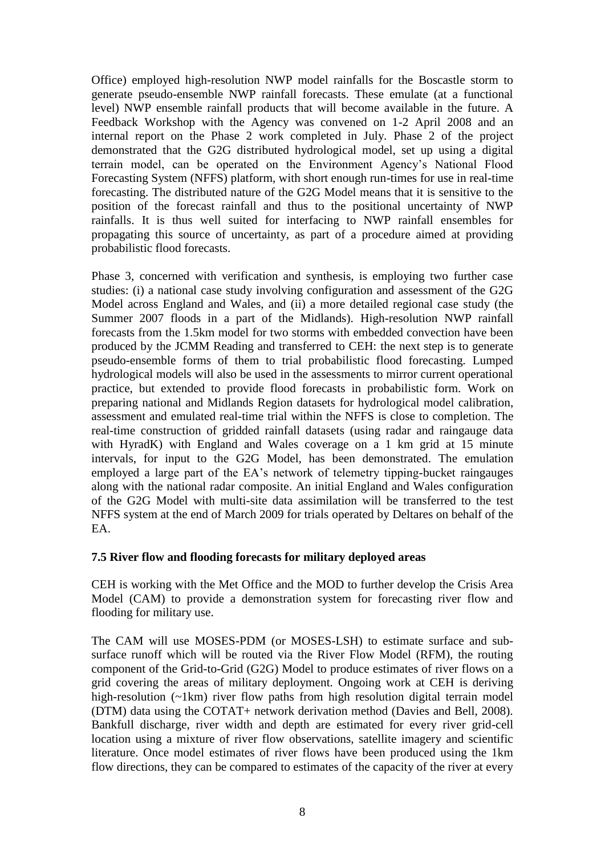Office) employed high-resolution NWP model rainfalls for the Boscastle storm to generate pseudo-ensemble NWP rainfall forecasts. These emulate (at a functional level) NWP ensemble rainfall products that will become available in the future. A Feedback Workshop with the Agency was convened on 1-2 April 2008 and an internal report on the Phase 2 work completed in July. Phase 2 of the project demonstrated that the G2G distributed hydrological model, set up using a digital terrain model, can be operated on the Environment Agency"s National Flood Forecasting System (NFFS) platform, with short enough run-times for use in real-time forecasting. The distributed nature of the G2G Model means that it is sensitive to the position of the forecast rainfall and thus to the positional uncertainty of NWP rainfalls. It is thus well suited for interfacing to NWP rainfall ensembles for propagating this source of uncertainty, as part of a procedure aimed at providing probabilistic flood forecasts.

Phase 3, concerned with verification and synthesis, is employing two further case studies: (i) a national case study involving configuration and assessment of the G2G Model across England and Wales, and (ii) a more detailed regional case study (the Summer 2007 floods in a part of the Midlands). High-resolution NWP rainfall forecasts from the 1.5km model for two storms with embedded convection have been produced by the JCMM Reading and transferred to CEH: the next step is to generate pseudo-ensemble forms of them to trial probabilistic flood forecasting. Lumped hydrological models will also be used in the assessments to mirror current operational practice, but extended to provide flood forecasts in probabilistic form. Work on preparing national and Midlands Region datasets for hydrological model calibration, assessment and emulated real-time trial within the NFFS is close to completion. The real-time construction of gridded rainfall datasets (using radar and raingauge data with HyradK) with England and Wales coverage on a 1 km grid at 15 minute intervals, for input to the G2G Model, has been demonstrated. The emulation employed a large part of the EA"s network of telemetry tipping-bucket raingauges along with the national radar composite. An initial England and Wales configuration of the G2G Model with multi-site data assimilation will be transferred to the test NFFS system at the end of March 2009 for trials operated by Deltares on behalf of the EA.

#### **7.5 River flow and flooding forecasts for military deployed areas**

CEH is working with the Met Office and the MOD to further develop the Crisis Area Model (CAM) to provide a demonstration system for forecasting river flow and flooding for military use.

The CAM will use MOSES-PDM (or MOSES-LSH) to estimate surface and subsurface runoff which will be routed via the River Flow Model (RFM), the routing component of the Grid-to-Grid (G2G) Model to produce estimates of river flows on a grid covering the areas of military deployment. Ongoing work at CEH is deriving high-resolution (~1km) river flow paths from high resolution digital terrain model (DTM) data using the COTAT+ network derivation method (Davies and Bell, 2008). Bankfull discharge, river width and depth are estimated for every river grid-cell location using a mixture of river flow observations, satellite imagery and scientific literature. Once model estimates of river flows have been produced using the 1km flow directions, they can be compared to estimates of the capacity of the river at every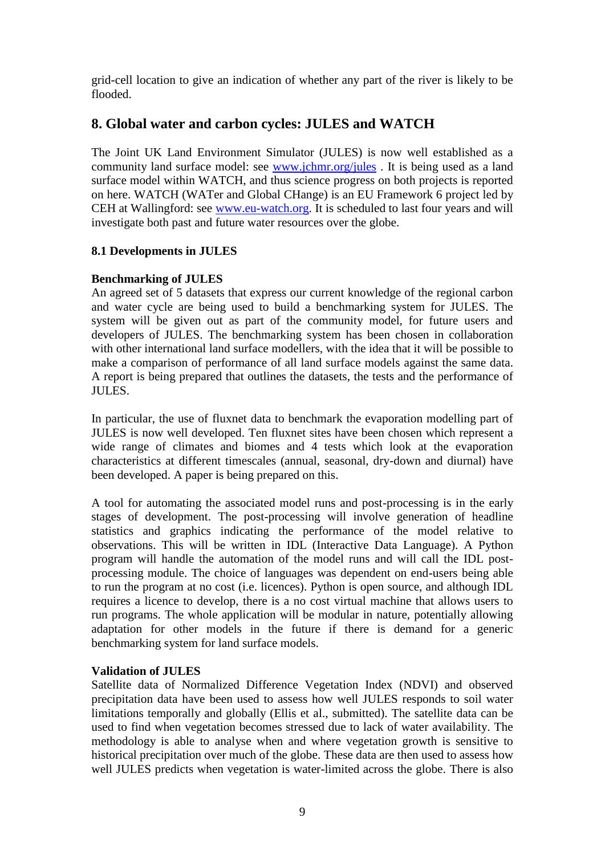grid-cell location to give an indication of whether any part of the river is likely to be flooded.

## **8. Global water and carbon cycles: JULES and WATCH**

The Joint UK Land Environment Simulator (JULES) is now well established as a community land surface model: see [www.jchmr.org/jules](http://www.jchmr.org/jules) . It is being used as a land surface model within WATCH, and thus science progress on both projects is reported on here. WATCH (WATer and Global CHange) is an EU Framework 6 project led by CEH at Wallingford: see [www.eu-watch.org.](http://www.eu-watch.org/) It is scheduled to last four years and will investigate both past and future water resources over the globe.

## **8.1 Developments in JULES**

## **Benchmarking of JULES**

An agreed set of 5 datasets that express our current knowledge of the regional carbon and water cycle are being used to build a benchmarking system for JULES. The system will be given out as part of the community model, for future users and developers of JULES. The benchmarking system has been chosen in collaboration with other international land surface modellers, with the idea that it will be possible to make a comparison of performance of all land surface models against the same data. A report is being prepared that outlines the datasets, the tests and the performance of JULES.

In particular, the use of fluxnet data to benchmark the evaporation modelling part of JULES is now well developed. Ten fluxnet sites have been chosen which represent a wide range of climates and biomes and 4 tests which look at the evaporation characteristics at different timescales (annual, seasonal, dry-down and diurnal) have been developed. A paper is being prepared on this.

A tool for automating the associated model runs and post-processing is in the early stages of development. The post-processing will involve generation of headline statistics and graphics indicating the performance of the model relative to observations. This will be written in IDL (Interactive Data Language). A Python program will handle the automation of the model runs and will call the IDL postprocessing module. The choice of languages was dependent on end-users being able to run the program at no cost (i.e. licences). Python is open source, and although IDL requires a licence to develop, there is a no cost virtual machine that allows users to run programs. The whole application will be modular in nature, potentially allowing adaptation for other models in the future if there is demand for a generic benchmarking system for land surface models.

## **Validation of JULES**

Satellite data of Normalized Difference Vegetation Index (NDVI) and observed precipitation data have been used to assess how well JULES responds to soil water limitations temporally and globally (Ellis et al., submitted). The satellite data can be used to find when vegetation becomes stressed due to lack of water availability. The methodology is able to analyse when and where vegetation growth is sensitive to historical precipitation over much of the globe. These data are then used to assess how well JULES predicts when vegetation is water-limited across the globe. There is also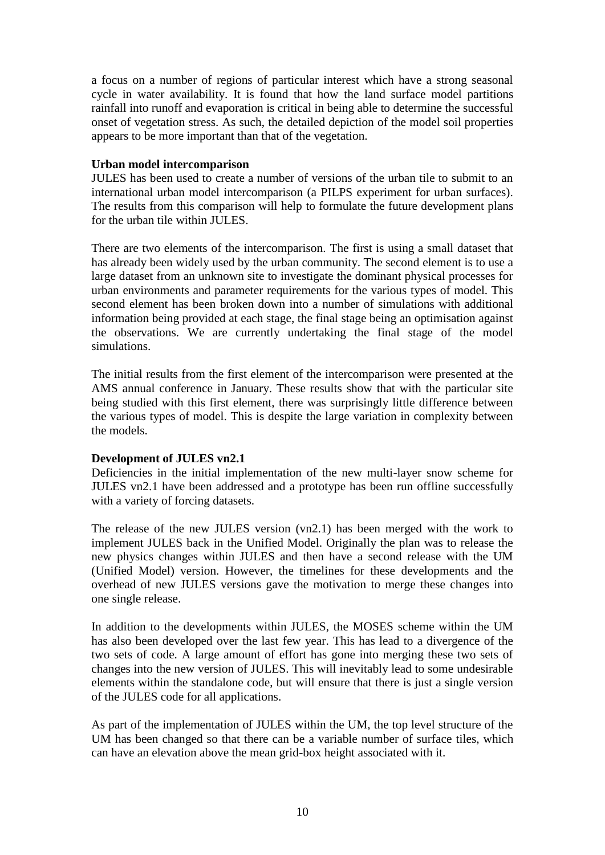a focus on a number of regions of particular interest which have a strong seasonal cycle in water availability. It is found that how the land surface model partitions rainfall into runoff and evaporation is critical in being able to determine the successful onset of vegetation stress. As such, the detailed depiction of the model soil properties appears to be more important than that of the vegetation.

#### **Urban model intercomparison**

JULES has been used to create a number of versions of the urban tile to submit to an international urban model intercomparison (a PILPS experiment for urban surfaces). The results from this comparison will help to formulate the future development plans for the urban tile within JULES.

There are two elements of the intercomparison. The first is using a small dataset that has already been widely used by the urban community. The second element is to use a large dataset from an unknown site to investigate the dominant physical processes for urban environments and parameter requirements for the various types of model. This second element has been broken down into a number of simulations with additional information being provided at each stage, the final stage being an optimisation against the observations. We are currently undertaking the final stage of the model simulations.

The initial results from the first element of the intercomparison were presented at the AMS annual conference in January. These results show that with the particular site being studied with this first element, there was surprisingly little difference between the various types of model. This is despite the large variation in complexity between the models.

## **Development of JULES vn2.1**

Deficiencies in the initial implementation of the new multi-layer snow scheme for JULES vn2.1 have been addressed and a prototype has been run offline successfully with a variety of forcing datasets.

The release of the new JULES version (vn2.1) has been merged with the work to implement JULES back in the Unified Model. Originally the plan was to release the new physics changes within JULES and then have a second release with the UM (Unified Model) version. However, the timelines for these developments and the overhead of new JULES versions gave the motivation to merge these changes into one single release.

In addition to the developments within JULES, the MOSES scheme within the UM has also been developed over the last few year. This has lead to a divergence of the two sets of code. A large amount of effort has gone into merging these two sets of changes into the new version of JULES. This will inevitably lead to some undesirable elements within the standalone code, but will ensure that there is just a single version of the JULES code for all applications.

As part of the implementation of JULES within the UM, the top level structure of the UM has been changed so that there can be a variable number of surface tiles, which can have an elevation above the mean grid-box height associated with it.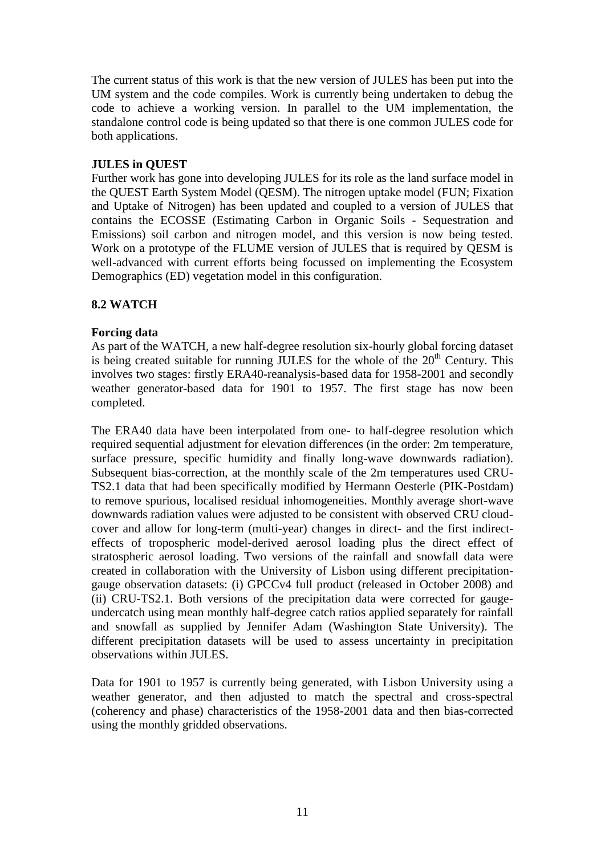The current status of this work is that the new version of JULES has been put into the UM system and the code compiles. Work is currently being undertaken to debug the code to achieve a working version. In parallel to the UM implementation, the standalone control code is being updated so that there is one common JULES code for both applications.

### **JULES in QUEST**

Further work has gone into developing JULES for its role as the land surface model in the QUEST Earth System Model (QESM). The nitrogen uptake model (FUN; Fixation and Uptake of Nitrogen) has been updated and coupled to a version of JULES that contains the ECOSSE (Estimating Carbon in Organic Soils - Sequestration and Emissions) soil carbon and nitrogen model, and this version is now being tested. Work on a prototype of the FLUME version of JULES that is required by QESM is well-advanced with current efforts being focussed on implementing the Ecosystem Demographics (ED) vegetation model in this configuration.

## **8.2 WATCH**

### **Forcing data**

As part of the WATCH, a new half-degree resolution six-hourly global forcing dataset is being created suitable for running JULES for the whole of the  $20<sup>th</sup>$  Century. This involves two stages: firstly ERA40-reanalysis-based data for 1958-2001 and secondly weather generator-based data for 1901 to 1957. The first stage has now been completed.

The ERA40 data have been interpolated from one- to half-degree resolution which required sequential adjustment for elevation differences (in the order: 2m temperature, surface pressure, specific humidity and finally long-wave downwards radiation). Subsequent bias-correction, at the monthly scale of the 2m temperatures used CRU-TS2.1 data that had been specifically modified by Hermann Oesterle (PIK-Postdam) to remove spurious, localised residual inhomogeneities. Monthly average short-wave downwards radiation values were adjusted to be consistent with observed CRU cloudcover and allow for long-term (multi-year) changes in direct- and the first indirecteffects of tropospheric model-derived aerosol loading plus the direct effect of stratospheric aerosol loading. Two versions of the rainfall and snowfall data were created in collaboration with the University of Lisbon using different precipitationgauge observation datasets: (i) GPCCv4 full product (released in October 2008) and (ii) CRU-TS2.1. Both versions of the precipitation data were corrected for gaugeundercatch using mean monthly half-degree catch ratios applied separately for rainfall and snowfall as supplied by Jennifer Adam (Washington State University). The different precipitation datasets will be used to assess uncertainty in precipitation observations within JULES.

Data for 1901 to 1957 is currently being generated, with Lisbon University using a weather generator, and then adjusted to match the spectral and cross-spectral (coherency and phase) characteristics of the 1958-2001 data and then bias-corrected using the monthly gridded observations.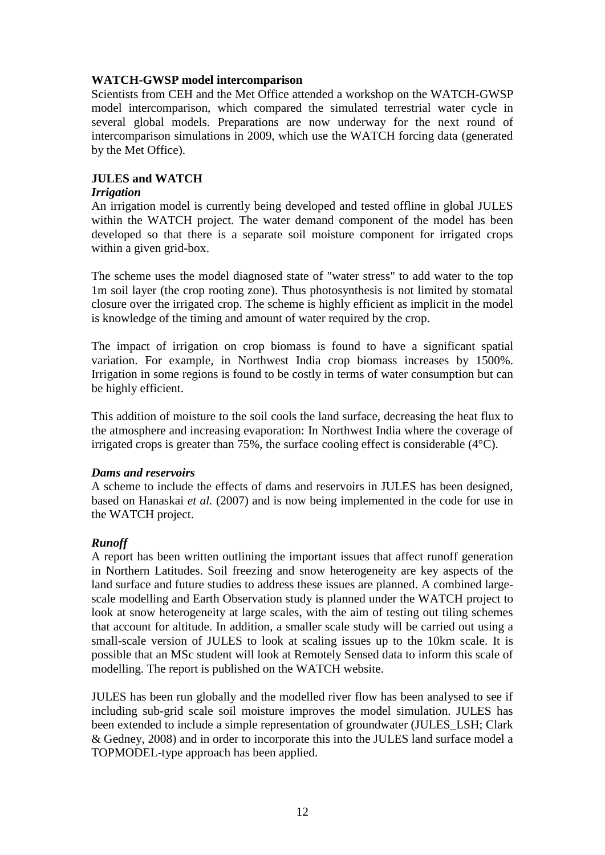### **WATCH-GWSP model intercomparison**

Scientists from CEH and the Met Office attended a workshop on the WATCH-GWSP model intercomparison, which compared the simulated terrestrial water cycle in several global models. Preparations are now underway for the next round of intercomparison simulations in 2009, which use the WATCH forcing data (generated by the Met Office).

### **JULES and WATCH**

#### *Irrigation*

An irrigation model is currently being developed and tested offline in global JULES within the WATCH project. The water demand component of the model has been developed so that there is a separate soil moisture component for irrigated crops within a given grid-box.

The scheme uses the model diagnosed state of "water stress" to add water to the top 1m soil layer (the crop rooting zone). Thus photosynthesis is not limited by stomatal closure over the irrigated crop. The scheme is highly efficient as implicit in the model is knowledge of the timing and amount of water required by the crop.

The impact of irrigation on crop biomass is found to have a significant spatial variation. For example, in Northwest India crop biomass increases by 1500%. Irrigation in some regions is found to be costly in terms of water consumption but can be highly efficient.

This addition of moisture to the soil cools the land surface, decreasing the heat flux to the atmosphere and increasing evaporation: In Northwest India where the coverage of irrigated crops is greater than 75%, the surface cooling effect is considerable (4°C).

#### *Dams and reservoirs*

A scheme to include the effects of dams and reservoirs in JULES has been designed, based on Hanaskai *et al.* (2007) and is now being implemented in the code for use in the WATCH project.

## *Runoff*

A report has been written outlining the important issues that affect runoff generation in Northern Latitudes. Soil freezing and snow heterogeneity are key aspects of the land surface and future studies to address these issues are planned. A combined largescale modelling and Earth Observation study is planned under the WATCH project to look at snow heterogeneity at large scales, with the aim of testing out tiling schemes that account for altitude. In addition, a smaller scale study will be carried out using a small-scale version of JULES to look at scaling issues up to the 10km scale. It is possible that an MSc student will look at Remotely Sensed data to inform this scale of modelling. The report is published on the WATCH website.

JULES has been run globally and the modelled river flow has been analysed to see if including sub-grid scale soil moisture improves the model simulation. JULES has been extended to include a simple representation of groundwater (JULES\_LSH; Clark & Gedney, 2008) and in order to incorporate this into the JULES land surface model a TOPMODEL-type approach has been applied.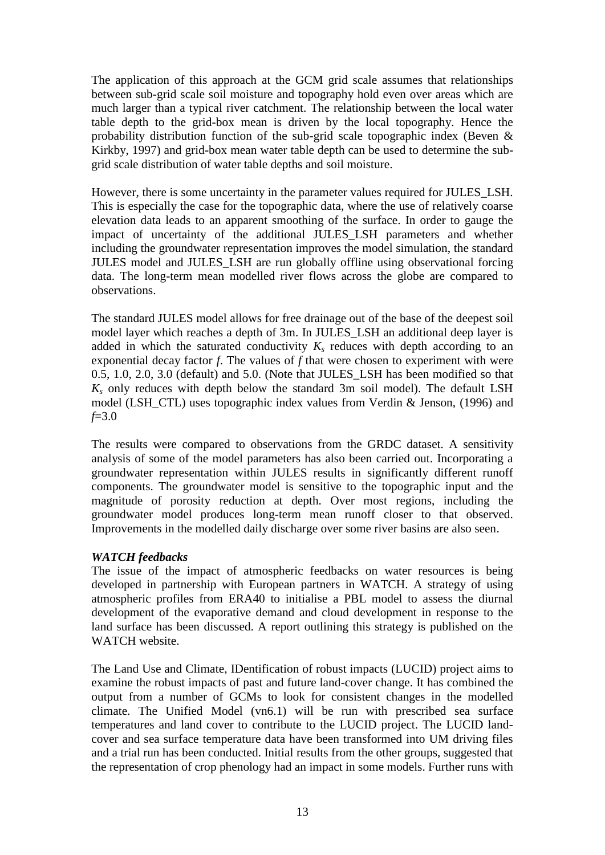The application of this approach at the GCM grid scale assumes that relationships between sub-grid scale soil moisture and topography hold even over areas which are much larger than a typical river catchment. The relationship between the local water table depth to the grid-box mean is driven by the local topography. Hence the probability distribution function of the sub-grid scale topographic index (Beven & Kirkby, 1997) and grid-box mean water table depth can be used to determine the subgrid scale distribution of water table depths and soil moisture.

However, there is some uncertainty in the parameter values required for JULES\_LSH. This is especially the case for the topographic data, where the use of relatively coarse elevation data leads to an apparent smoothing of the surface. In order to gauge the impact of uncertainty of the additional JULES\_LSH parameters and whether including the groundwater representation improves the model simulation, the standard JULES model and JULES\_LSH are run globally offline using observational forcing data. The long-term mean modelled river flows across the globe are compared to observations.

The standard JULES model allows for free drainage out of the base of the deepest soil model layer which reaches a depth of 3m. In JULES\_LSH an additional deep layer is added in which the saturated conductivity  $K_s$  reduces with depth according to an exponential decay factor *f*. The values of *f* that were chosen to experiment with were 0.5, 1.0, 2.0, 3.0 (default) and 5.0. (Note that JULES\_LSH has been modified so that  $K_s$  only reduces with depth below the standard 3m soil model). The default LSH model (LSH\_CTL) uses topographic index values from Verdin & Jenson, (1996) and *f*=3.0

The results were compared to observations from the GRDC dataset. A sensitivity analysis of some of the model parameters has also been carried out. Incorporating a groundwater representation within JULES results in significantly different runoff components. The groundwater model is sensitive to the topographic input and the magnitude of porosity reduction at depth. Over most regions, including the groundwater model produces long-term mean runoff closer to that observed. Improvements in the modelled daily discharge over some river basins are also seen.

## *WATCH feedbacks*

The issue of the impact of atmospheric feedbacks on water resources is being developed in partnership with European partners in WATCH. A strategy of using atmospheric profiles from ERA40 to initialise a PBL model to assess the diurnal development of the evaporative demand and cloud development in response to the land surface has been discussed. A report outlining this strategy is published on the WATCH website.

The Land Use and Climate, IDentification of robust impacts (LUCID) project aims to examine the robust impacts of past and future land-cover change. It has combined the output from a number of GCMs to look for consistent changes in the modelled climate. The Unified Model (vn6.1) will be run with prescribed sea surface temperatures and land cover to contribute to the LUCID project. The LUCID landcover and sea surface temperature data have been transformed into UM driving files and a trial run has been conducted. Initial results from the other groups, suggested that the representation of crop phenology had an impact in some models. Further runs with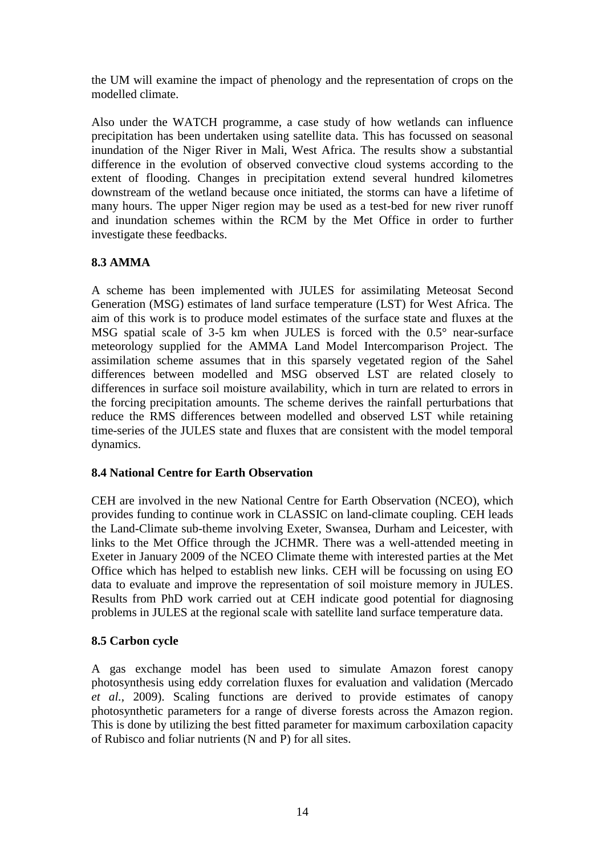the UM will examine the impact of phenology and the representation of crops on the modelled climate.

Also under the WATCH programme, a case study of how wetlands can influence precipitation has been undertaken using satellite data. This has focussed on seasonal inundation of the Niger River in Mali, West Africa. The results show a substantial difference in the evolution of observed convective cloud systems according to the extent of flooding. Changes in precipitation extend several hundred kilometres downstream of the wetland because once initiated, the storms can have a lifetime of many hours. The upper Niger region may be used as a test-bed for new river runoff and inundation schemes within the RCM by the Met Office in order to further investigate these feedbacks.

## **8.3 AMMA**

A scheme has been implemented with JULES for assimilating Meteosat Second Generation (MSG) estimates of land surface temperature (LST) for West Africa. The aim of this work is to produce model estimates of the surface state and fluxes at the MSG spatial scale of 3-5 km when JULES is forced with the 0.5° near-surface meteorology supplied for the AMMA Land Model Intercomparison Project. The assimilation scheme assumes that in this sparsely vegetated region of the Sahel differences between modelled and MSG observed LST are related closely to differences in surface soil moisture availability, which in turn are related to errors in the forcing precipitation amounts. The scheme derives the rainfall perturbations that reduce the RMS differences between modelled and observed LST while retaining time-series of the JULES state and fluxes that are consistent with the model temporal dynamics.

## **8.4 National Centre for Earth Observation**

CEH are involved in the new National Centre for Earth Observation (NCEO), which provides funding to continue work in CLASSIC on land-climate coupling. CEH leads the Land-Climate sub-theme involving Exeter, Swansea, Durham and Leicester, with links to the Met Office through the JCHMR. There was a well-attended meeting in Exeter in January 2009 of the NCEO Climate theme with interested parties at the Met Office which has helped to establish new links. CEH will be focussing on using EO data to evaluate and improve the representation of soil moisture memory in JULES. Results from PhD work carried out at CEH indicate good potential for diagnosing problems in JULES at the regional scale with satellite land surface temperature data.

## **8.5 Carbon cycle**

A gas exchange model has been used to simulate Amazon forest canopy photosynthesis using eddy correlation fluxes for evaluation and validation (Mercado *et al.*, 2009). Scaling functions are derived to provide estimates of canopy photosynthetic parameters for a range of diverse forests across the Amazon region. This is done by utilizing the best fitted parameter for maximum carboxilation capacity of Rubisco and foliar nutrients (N and P) for all sites.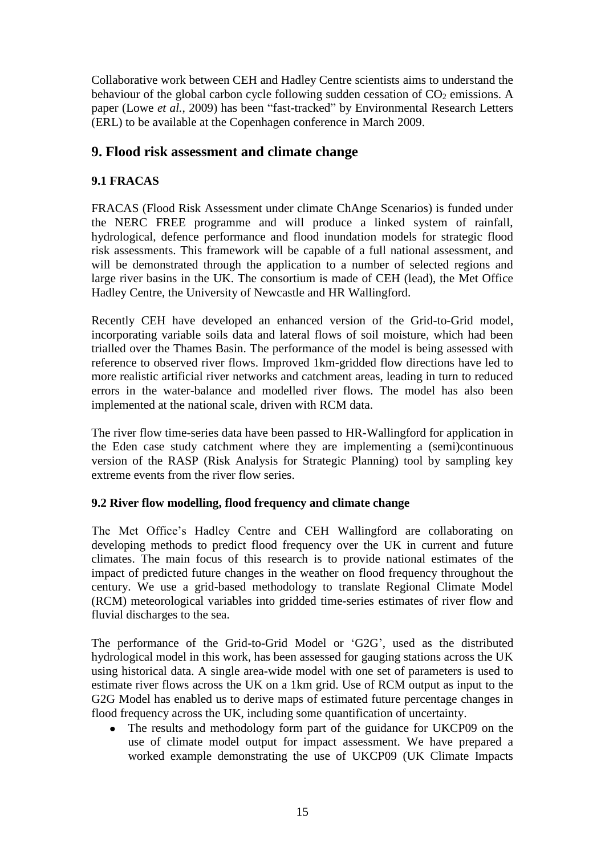Collaborative work between CEH and Hadley Centre scientists aims to understand the behaviour of the global carbon cycle following sudden cessation of  $CO<sub>2</sub>$  emissions. A paper (Lowe *et al.*, 2009) has been "fast-tracked" by Environmental Research Letters (ERL) to be available at the Copenhagen conference in March 2009.

## **9. Flood risk assessment and climate change**

## **9.1 FRACAS**

FRACAS (Flood Risk Assessment under climate ChAnge Scenarios) is funded under the NERC FREE programme and will produce a linked system of rainfall, hydrological, defence performance and flood inundation models for strategic flood risk assessments. This framework will be capable of a full national assessment, and will be demonstrated through the application to a number of selected regions and large river basins in the UK. The consortium is made of CEH (lead), the Met Office Hadley Centre, the University of Newcastle and HR Wallingford.

Recently CEH have developed an enhanced version of the Grid-to-Grid model, incorporating variable soils data and lateral flows of soil moisture, which had been trialled over the Thames Basin. The performance of the model is being assessed with reference to observed river flows. Improved 1km-gridded flow directions have led to more realistic artificial river networks and catchment areas, leading in turn to reduced errors in the water-balance and modelled river flows. The model has also been implemented at the national scale, driven with RCM data.

The river flow time-series data have been passed to HR-Wallingford for application in the Eden case study catchment where they are implementing a (semi)continuous version of the RASP (Risk Analysis for Strategic Planning) tool by sampling key extreme events from the river flow series.

## **9.2 River flow modelling, flood frequency and climate change**

The Met Office's Hadley Centre and CEH Wallingford are collaborating on developing methods to predict flood frequency over the UK in current and future climates. The main focus of this research is to provide national estimates of the impact of predicted future changes in the weather on flood frequency throughout the century. We use a grid-based methodology to translate Regional Climate Model (RCM) meteorological variables into gridded time-series estimates of river flow and fluvial discharges to the sea.

The performance of the Grid-to-Grid Model or "G2G", used as the distributed hydrological model in this work, has been assessed for gauging stations across the UK using historical data. A single area-wide model with one set of parameters is used to estimate river flows across the UK on a 1km grid. Use of RCM output as input to the G2G Model has enabled us to derive maps of estimated future percentage changes in flood frequency across the UK, including some quantification of uncertainty.

The results and methodology form part of the guidance for UKCP09 on the use of climate model output for impact assessment. We have prepared a worked example demonstrating the use of UKCP09 (UK Climate Impacts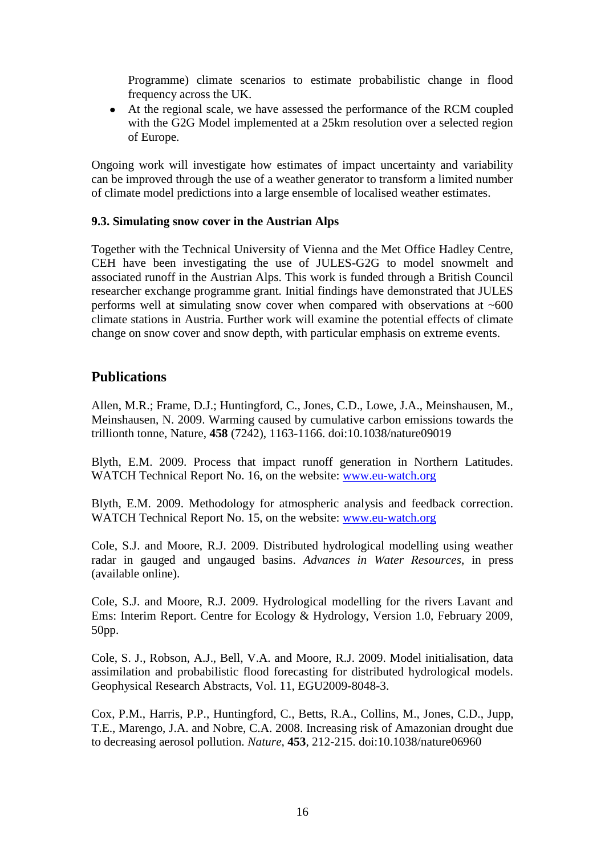Programme) climate scenarios to estimate probabilistic change in flood frequency across the UK.

At the regional scale, we have assessed the performance of the RCM coupled with the G2G Model implemented at a 25km resolution over a selected region of Europe.

Ongoing work will investigate how estimates of impact uncertainty and variability can be improved through the use of a weather generator to transform a limited number of climate model predictions into a large ensemble of localised weather estimates.

#### **9.3. Simulating snow cover in the Austrian Alps**

Together with the Technical University of Vienna and the Met Office Hadley Centre, CEH have been investigating the use of JULES-G2G to model snowmelt and associated runoff in the Austrian Alps. This work is funded through a British Council researcher exchange programme grant. Initial findings have demonstrated that JULES performs well at simulating snow cover when compared with observations at  $~600$ climate stations in Austria. Further work will examine the potential effects of climate change on snow cover and snow depth, with particular emphasis on extreme events.

## **Publications**

Allen, M.R.; Frame, D.J.; Huntingford, C., Jones, C.D., Lowe, J.A., Meinshausen, M., Meinshausen, N. 2009. Warming caused by cumulative carbon emissions towards the trillionth tonne, Nature, **458** (7242), 1163-1166. doi:10.1038/nature09019

Blyth, E.M. 2009. Process that impact runoff generation in Northern Latitudes. WATCH Technical Report No. 16, on the website: [www.eu-watch.org](http://www.eu-watch.org/)

Blyth, E.M. 2009. Methodology for atmospheric analysis and feedback correction. WATCH Technical Report No. 15, on the website: [www.eu-watch.org](http://www.eu-watch.org/)

Cole, S.J. and Moore, R.J. 2009. Distributed hydrological modelling using weather radar in gauged and ungauged basins. *Advances in Water Resources*, in press (available online).

Cole, S.J. and Moore, R.J. 2009. Hydrological modelling for the rivers Lavant and Ems: Interim Report. Centre for Ecology & Hydrology, Version 1.0, February 2009, 50pp.

Cole, S. J., Robson, A.J., Bell, V.A. and Moore, R.J. 2009. Model initialisation, data assimilation and probabilistic flood forecasting for distributed hydrological models. Geophysical Research Abstracts, Vol. 11, EGU2009-8048-3.

Cox, P.M., Harris, P.P., Huntingford, C., Betts, R.A., Collins, M., Jones, C.D., Jupp, T.E., Marengo, J.A. and Nobre, C.A. 2008. Increasing risk of Amazonian drought due to decreasing aerosol pollution. *Nature*, **453**, 212-215. doi:10.1038/nature06960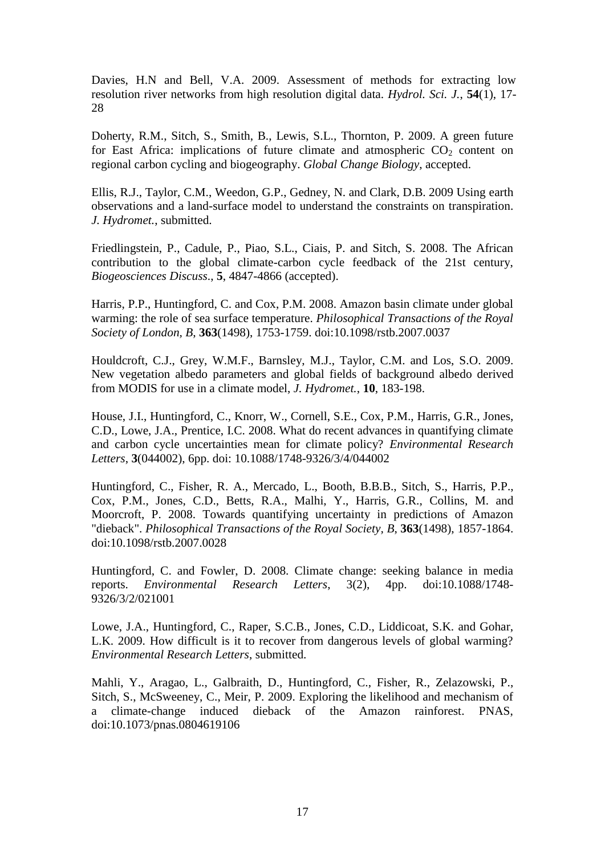Davies, H.N and Bell, V.A. 2009. Assessment of methods for extracting low resolution river networks from high resolution digital data. *Hydrol. Sci. J.*, **54**(1), 17- 28

Doherty, R.M., Sitch, S., Smith, B., Lewis, S.L., Thornton, P. 2009. A green future for East Africa: implications of future climate and atmospheric  $CO<sub>2</sub>$  content on regional carbon cycling and biogeography. *Global Change Biology*, accepted.

Ellis, R.J., Taylor, C.M., Weedon, G.P., Gedney, N. and Clark, D.B. 2009 Using earth observations and a land-surface model to understand the constraints on transpiration. *J. Hydromet.*, submitted.

Friedlingstein, P., Cadule, P., Piao, S.L., Ciais, P. and Sitch, S. 2008. The African contribution to the global climate-carbon cycle feedback of the 21st century, *Biogeosciences Discuss*., **5**, 4847-4866 (accepted).

Harris, P.P., Huntingford, C. and Cox, P.M. 2008. Amazon basin climate under global warming: the role of sea surface temperature. *Philosophical Transactions of the Royal Society of London, B*, **363**(1498), 1753-1759. doi:10.1098/rstb.2007.0037

Houldcroft, C.J., Grey, W.M.F., Barnsley, M.J., Taylor, C.M. and Los, S.O. 2009. New vegetation albedo parameters and global fields of background albedo derived from MODIS for use in a climate model, *J. Hydromet.*, **10**, 183-198.

House, J.I., Huntingford, C., Knorr, W., Cornell, S.E., Cox, P.M., Harris, G.R., Jones, C.D., Lowe, J.A., Prentice, I.C. 2008. What do recent advances in quantifying climate and carbon cycle uncertainties mean for climate policy? *Environmental Research Letters*, **3**(044002), 6pp. doi: 10.1088/1748-9326/3/4/044002

Huntingford, C., Fisher, R. A., Mercado, L., Booth, B.B.B., Sitch, S., Harris, P.P., Cox, P.M., Jones, C.D., Betts, R.A., Malhi, Y., Harris, G.R., Collins, M. and Moorcroft, P. 2008. Towards quantifying uncertainty in predictions of Amazon "dieback". *Philosophical Transactions of the Royal Society, B*, **363**(1498), 1857-1864. doi:10.1098/rstb.2007.0028

Huntingford, C. and Fowler, D. 2008. Climate change: seeking balance in media reports. *Environmental Research Letters*, 3(2), 4pp. doi:10.1088/1748- 9326/3/2/021001

Lowe, J.A., Huntingford, C., Raper, S.C.B., Jones, C.D., Liddicoat, S.K. and Gohar, L.K. 2009. How difficult is it to recover from dangerous levels of global warming? *Environmental Research Letters*, submitted.

Mahli, Y., Aragao, L., Galbraith, D., Huntingford, C., Fisher, R., Zelazowski, P., Sitch, S., McSweeney, C., Meir, P. 2009. Exploring the likelihood and mechanism of a climate-change induced dieback of the Amazon rainforest. PNAS, doi:10.1073/pnas.0804619106